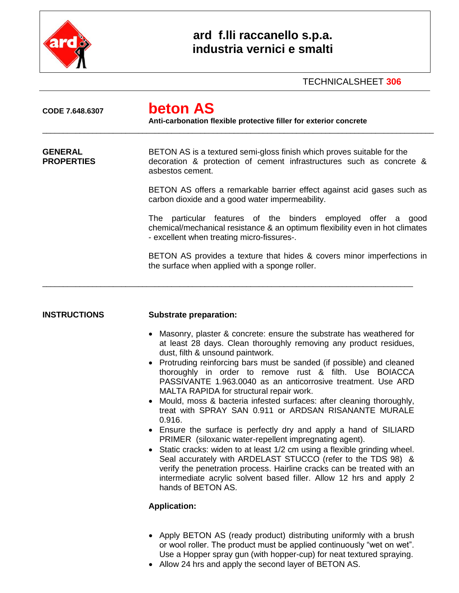

## **ard f.lli raccanello s.p.a. industria vernici e smalti**

### TECHNICALSHEET **306**

| CODE 7.648.6307                     | <b>beton AS</b><br>Anti-carbonation flexible protective filler for exterior concrete                                                                                                                                                                                                                                                                                                                                                                                                                                                                                                                                                                                                                                                                                                                                                                                                                                                                                                                                                                         |  |  |  |
|-------------------------------------|--------------------------------------------------------------------------------------------------------------------------------------------------------------------------------------------------------------------------------------------------------------------------------------------------------------------------------------------------------------------------------------------------------------------------------------------------------------------------------------------------------------------------------------------------------------------------------------------------------------------------------------------------------------------------------------------------------------------------------------------------------------------------------------------------------------------------------------------------------------------------------------------------------------------------------------------------------------------------------------------------------------------------------------------------------------|--|--|--|
| <b>GENERAL</b><br><b>PROPERTIES</b> | BETON AS is a textured semi-gloss finish which proves suitable for the<br>decoration & protection of cement infrastructures such as concrete &<br>asbestos cement.                                                                                                                                                                                                                                                                                                                                                                                                                                                                                                                                                                                                                                                                                                                                                                                                                                                                                           |  |  |  |
|                                     | BETON AS offers a remarkable barrier effect against acid gases such as<br>carbon dioxide and a good water impermeability.                                                                                                                                                                                                                                                                                                                                                                                                                                                                                                                                                                                                                                                                                                                                                                                                                                                                                                                                    |  |  |  |
|                                     | The particular features of the binders employed offer a good<br>chemical/mechanical resistance & an optimum flexibility even in hot climates<br>- excellent when treating micro-fissures-.                                                                                                                                                                                                                                                                                                                                                                                                                                                                                                                                                                                                                                                                                                                                                                                                                                                                   |  |  |  |
|                                     | BETON AS provides a texture that hides & covers minor imperfections in<br>the surface when applied with a sponge roller.                                                                                                                                                                                                                                                                                                                                                                                                                                                                                                                                                                                                                                                                                                                                                                                                                                                                                                                                     |  |  |  |
| <b>INSTRUCTIONS</b>                 | <b>Substrate preparation:</b>                                                                                                                                                                                                                                                                                                                                                                                                                                                                                                                                                                                                                                                                                                                                                                                                                                                                                                                                                                                                                                |  |  |  |
|                                     | • Masonry, plaster & concrete: ensure the substrate has weathered for<br>at least 28 days. Clean thoroughly removing any product residues,<br>dust, filth & unsound paintwork.<br>Protruding reinforcing bars must be sanded (if possible) and cleaned<br>thoroughly in order to remove rust & filth. Use BOIACCA<br>PASSIVANTE 1.963.0040 as an anticorrosive treatment. Use ARD<br>MALTA RAPIDA for structural repair work.<br>Mould, moss & bacteria infested surfaces: after cleaning thoroughly,<br>treat with SPRAY SAN 0.911 or ARDSAN RISANANTE MURALE<br>0.916.<br>Ensure the surface is perfectly dry and apply a hand of SILIARD<br>PRIMER (siloxanic water-repellent impregnating agent).<br>Static cracks: widen to at least 1/2 cm using a flexible grinding wheel.<br>$\bullet$<br>Seal accurately with ARDELAST STUCCO (refer to the TDS 98) &<br>verify the penetration process. Hairline cracks can be treated with an<br>intermediate acrylic solvent based filler. Allow 12 hrs and apply 2<br>hands of BETON AS.<br><b>Application:</b> |  |  |  |

- Apply BETON AS (ready product) distributing uniformly with a brush or wool roller. The product must be applied continuously "wet on wet". Use a Hopper spray gun (with hopper-cup) for neat textured spraying.
- Allow 24 hrs and apply the second layer of BETON AS.